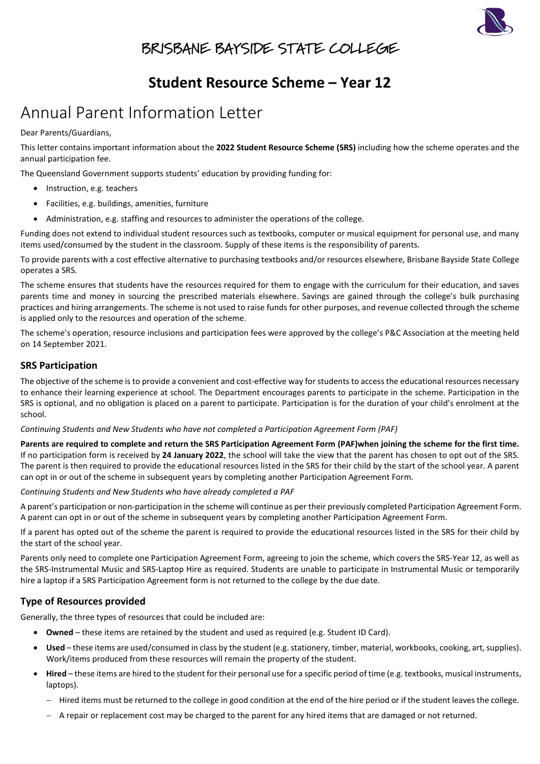

### BRISBANE BAYSIDE STATE COLLEGE

# **Student Resource Scheme – Year 12**

# Annual Parent Information Letter

Dear Parents/Guardians,

This letter contains important information about the **2022 Student Resource Scheme (SRS)** including how the scheme operates and the annual participation fee.

The Queensland Government supports students' education by providing funding for:

- Instruction, e.g. teachers
- Facilities, e.g. buildings, amenities, furniture
- Administration, e.g. staffing and resources to administer the operations of the college.

Funding does not extend to individual student resources such as textbooks, computer or musical equipment for personal use, and many items used/consumed by the student in the classroom. Supply of these items is the responsibility of parents.

To provide parents with a cost effective alternative to purchasing textbooks and/or resources elsewhere, Brisbane Bayside State College operates a SRS.

The scheme ensures that students have the resources required for them to engage with the curriculum for their education, and saves parents time and money in sourcing the prescribed materials elsewhere. Savings are gained through the college's bulk purchasing practices and hiring arrangements. The scheme is not used to raise funds for other purposes, and revenue collected through the scheme is applied only to the resources and operation of the scheme.

The scheme's operation, resource inclusions and participation fees were approved by the college's P&C Association at the meeting held on 14 September 2021.

### **SRS Participation**

The objective of the scheme is to provide a convenient and cost-effective way for students to access the educational resources necessary to enhance their learning experience at school. The Department encourages parents to participate in the scheme. Participation in the SRS is optional, and no obligation is placed on a parent to participate. Participation is for the duration of your child's enrolment at the school.

*Continuing Students and New Students who have not completed a Participation Agreement Form (PAF)*

**Parents are required to complete and return the SRS Participation Agreement Form (PAF)when joining the scheme for the first time.** If no participation form is received by **24 January 2022**, the school will take the view that the parent has chosen to opt out of the SRS. The parent is then required to provide the educational resources listed in the SRS for their child by the start of the school year. A parent can opt in or out of the scheme in subsequent years by completing another Participation Agreement Form.

*Continuing Students and New Students who have already completed a PAF*

A parent's participation or non-participation in the scheme will continue as per their previously completed Participation Agreement Form. A parent can opt in or out of the scheme in subsequent years by completing another Participation Agreement Form.

If a parent has opted out of the scheme the parent is required to provide the educational resources listed in the SRS for their child by the start of the school year.

Parents only need to complete one Participation Agreement Form, agreeing to join the scheme, which covers the SRS-Year 12, as well as the SRS-Instrumental Music and SRS-Laptop Hire as required. Students are unable to participate in Instrumental Music or temporarily hire a laptop if a SRS Participation Agreement form is not returned to the college by the due date.

### **Type of Resources provided**

Generally, the three types of resources that could be included are:

- **Owned** these items are retained by the student and used as required (e.g. Student ID Card).
- **Used**  these items are used/consumed in class by the student (e.g. stationery, timber, material, workbooks, cooking, art, supplies). Work/items produced from these resources will remain the property of the student.
- **Hired**  these items are hired to the student for their personal use for a specific period of time (e.g. textbooks, musical instruments, laptops).
	- − Hired items must be returned to the college in good condition at the end of the hire period or if the student leaves the college.
	- − A repair or replacement cost may be charged to the parent for any hired items that are damaged or not returned.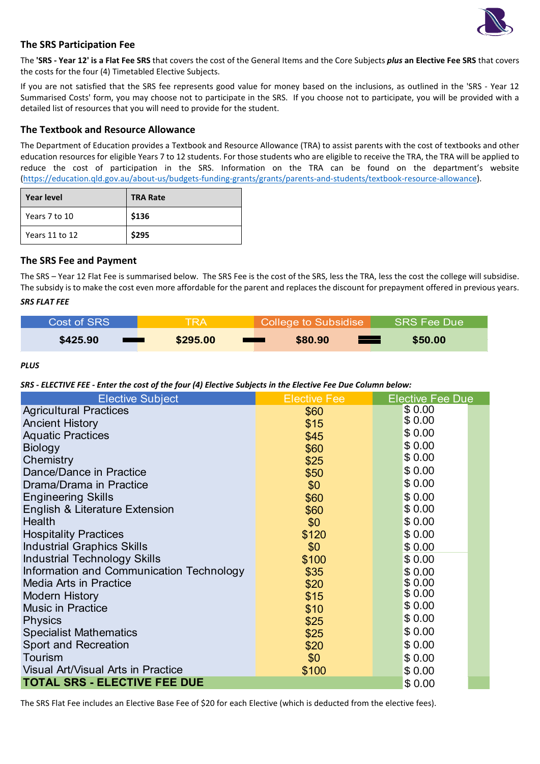

#### **The SRS Participation Fee**

The **'SRS - Year 12' is a Flat Fee SRS** that covers the cost of the General Items and the Core Subjects *plus* **an Elective Fee SRS** that covers the costs for the four (4) Timetabled Elective Subjects.

If you are not satisfied that the SRS fee represents good value for money based on the inclusions, as outlined in the 'SRS - Year 12 Summarised Costs' form, you may choose not to participate in the SRS. If you choose not to participate, you will be provided with a detailed list of resources that you will need to provide for the student.

#### **The Textbook and Resource Allowance**

The Department of Education provides a Textbook and Resource Allowance (TRA) to assist parents with the cost of textbooks and other education resources for eligible Years 7 to 12 students. For those students who are eligible to receive the TRA, the TRA will be applied to reduce the cost of participation in the SRS. Information on the TRA can be found on the department's website [\(https://education.qld.gov.au/about-us/budgets-funding-grants/grants/parents-and-students/textbook-resource-allowance\)](https://education.qld.gov.au/about-us/budgets-funding-grants/grants/parents-and-students/textbook-resource-allowance).

| <b>Year level</b> | <b>TRA Rate</b> |
|-------------------|-----------------|
| Years 7 to 10     | \$136           |
| Years 11 to 12    | \$295           |

#### **The SRS Fee and Payment**

The SRS – Year 12 Flat Fee is summarised below. The SRS Fee is the cost of the SRS, less the TRA, less the cost the college will subsidise. The subsidy is to make the cost even more affordable for the parent and replaces the discount for prepayment offered in previous years. *SRS FLAT FEE*

| Cost of SRS                                            | <b>TRA</b> | College to Subsidise                     | SRS Fee Due |
|--------------------------------------------------------|------------|------------------------------------------|-------------|
| \$425.90<br><b>Contract Contract Contract Contract</b> | \$295.00   | \$80.90<br>—<br><b>STATE OF PROPERTY</b> | \$50.00     |

*PLUS* 

*SRS - ELECTIVE FEE - Enter the cost of the four (4) Elective Subjects in the Elective Fee Due Column below:*

| <b>Elective Subject</b>                       | <b>Elective Fee</b> | <b>Elective Fee Due</b> |  |
|-----------------------------------------------|---------------------|-------------------------|--|
| <b>Agricultural Practices</b>                 | \$60                | \$0.00                  |  |
| <b>Ancient History</b>                        | \$15                | \$0.00                  |  |
| <b>Aquatic Practices</b>                      | \$45                | \$0.00                  |  |
| <b>Biology</b>                                | \$60                | \$0.00                  |  |
| Chemistry                                     | \$25                | \$0.00                  |  |
| Dance/Dance in Practice                       | \$50                | \$0.00                  |  |
| Drama/Drama in Practice                       | \$0                 | \$0.00                  |  |
| <b>Engineering Skills</b>                     | \$60                | \$0.00                  |  |
| English & Literature Extension                | \$60                | \$0.00                  |  |
| Health                                        | \$0                 | \$0.00                  |  |
| <b>Hospitality Practices</b>                  | \$120               | \$0.00                  |  |
| <b>Industrial Graphics Skills</b>             | \$0                 | \$0.00                  |  |
| <b>Industrial Technology Skills</b>           | \$100               | \$0.00                  |  |
| Information and Communication Technology      | \$35                | \$0.00                  |  |
| <b>Media Arts in Practice</b>                 | \$20                | \$0.00                  |  |
| <b>Modern History</b>                         | \$15                | \$0.00                  |  |
| <b>Music in Practice</b>                      | \$10                | \$0.00                  |  |
| <b>Physics</b>                                | \$25                | \$0.00                  |  |
| <b>Specialist Mathematics</b>                 | \$25                | \$0.00                  |  |
| <b>Sport and Recreation</b>                   | \$20                | \$0.00                  |  |
| Tourism                                       | \$0                 | \$0.00                  |  |
| <b>Visual Art/Visual Arts in Practice</b>     | \$100               | \$0.00                  |  |
| <b>TOTAL SRS - ELECTIVE FEE DUE</b><br>\$0.00 |                     |                         |  |

The SRS Flat Fee includes an Elective Base Fee of \$20 for each Elective (which is deducted from the elective fees).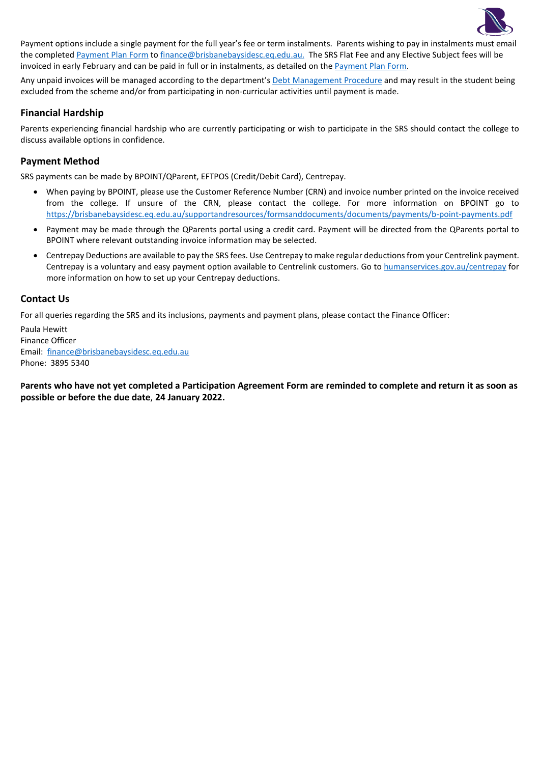

Payment options include a single payment for the full year's fee or term instalments. Parents wishing to pay in instalments must email the complete[d Payment Plan Form](https://brisbanebaysidesc.eq.edu.au/supportandresources/formsanddocuments/documents/payments/payment-plan.pdf) to [finance@brisbanebaysidesc.eq.edu.au.](mailto:finance@brisbanebaysidesc.eq.edu.au) The SRS Flat Fee and any Elective Subject fees will be invoiced in early February and can be paid in full or in instalments, as detailed on the [Payment Plan Form.](https://brisbanebaysidesc.eq.edu.au/supportandresources/formsanddocuments/documents/payments/payment-plan.pdf) 

Any unpaid invoices will be managed according to the department'[s Debt Management Procedure](https://ppr.qed.qld.gov.au/pp/debt-management-procedure) and may result in the student being excluded from the scheme and/or from participating in non-curricular activities until payment is made.

### **Financial Hardship**

Parents experiencing financial hardship who are currently participating or wish to participate in the SRS should contact the college to discuss available options in confidence.

#### **Payment Method**

SRS payments can be made by BPOINT/QParent, EFTPOS (Credit/Debit Card), Centrepay.

- When paying by BPOINT, please use the Customer Reference Number (CRN) and invoice number printed on the invoice received from the college. If unsure of the CRN, please contact the college. For more information on BPOINT go to <https://brisbanebaysidesc.eq.edu.au/supportandresources/formsanddocuments/documents/payments/b-point-payments.pdf>
- Payment may be made through the QParents portal using a credit card. Payment will be directed from the QParents portal to BPOINT where relevant outstanding invoice information may be selected.
- Centrepay Deductions are available to pay the SRS fees. Use Centrepay to make regular deductions from your Centrelink payment. Centrepay is a voluntary and easy payment option available to Centrelink customers. Go to [humanservices.gov.au/centrepay](https://www.humanservices.gov.au/individuals/services/centrelink/centrepay) for more information on how to set up your Centrepay deductions.

#### **Contact Us**

For all queries regarding the SRS and its inclusions, payments and payment plans, please contact the Finance Officer:

Paula Hewitt Finance Officer Email: [finance@brisbanebaysidesc.eq.edu.au](mailto:finance@brisbanebaysidesc.eq.edu.au?subject=SRS%20-%20Payment/Payment%20Plan%20Query) Phone: 3895 5340

**Parents who have not yet completed a Participation Agreement Form are reminded to complete and return it as soon as possible or before the due date**, **24 January 2022.**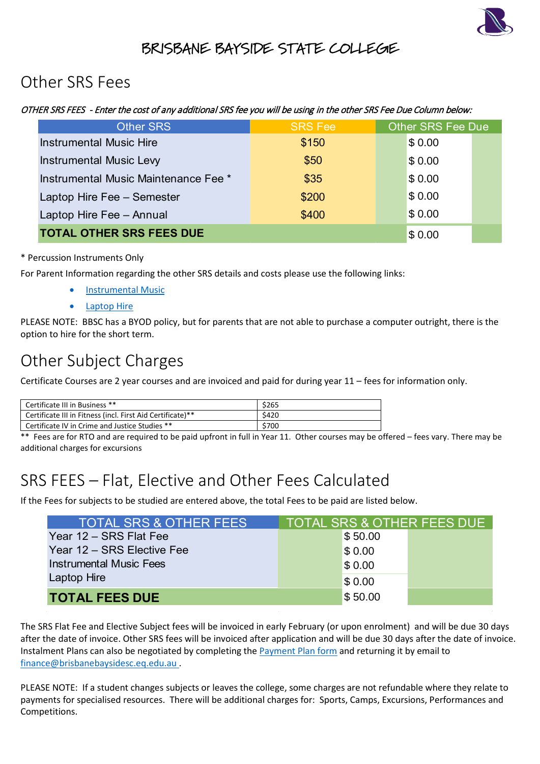

## BRISBANE BAYSIDE STATE COLLEGE

# Other SRS Fees

### OTHER SRS FEES - Enter the cost of any additional SRS fee you will be using in the other SRS Fee Due Column below:

| <b>Other SRS</b>                     | <b>SRS Fee</b> | Other SRS Fee Due |  |  |
|--------------------------------------|----------------|-------------------|--|--|
| <b>Instrumental Music Hire</b>       | \$150          | \$0.00            |  |  |
| <b>Instrumental Music Levy</b>       | \$50           | \$0.00            |  |  |
| Instrumental Music Maintenance Fee * | \$35           | \$0.00            |  |  |
| Laptop Hire Fee - Semester           | \$200          | \$0.00            |  |  |
| Laptop Hire Fee - Annual             | \$400          | \$0.00            |  |  |
| <b>TOTAL OTHER SRS FEES DUE</b>      | \$0.00         |                   |  |  |

### \* Percussion Instruments Only

For Parent Information regarding the other SRS details and costs please use the following links:

- [Instrumental Music](https://brisbanebaysidesc.eq.edu.au/SupportAndResources/FormsAndDocuments/Documents/Student-resource-scheme/instrumental-music-scheme-parent-information-letter.pdf)
- **[Laptop Hire](https://brisbanebaysidesc.eq.edu.au/SupportAndResources/FormsAndDocuments/Documents/Student-resource-scheme/laptop-hire-scheme-parent-information-letter.pdf)**

PLEASE NOTE: BBSC has a BYOD policy, but for parents that are not able to purchase a computer outright, there is the option to hire for the short term.

# Other Subject Charges

Certificate Courses are 2 year courses and are invoiced and paid for during year 11 – fees for information only.

| Certificate III in Business **                             | \$265 |
|------------------------------------------------------------|-------|
| Certificate III in Fitness (incl. First Aid Certificate)** | \$420 |
| Certificate IV in Crime and Justice Studies **             | \$700 |

 $*$  Fees are for RTO and are required to be paid upfront in full in Year 11. Other courses may be offered – fees vary. There may be additional charges for excursions

# SRS FEES – Flat, Elective and Other Fees Calculated

If the Fees for subjects to be studied are entered above, the total Fees to be paid are listed below.

| <b>TOTAL SRS &amp; OTHER FEES</b> | TOTAL SRS & OTHER FEES DUE |         |  |
|-----------------------------------|----------------------------|---------|--|
| Year 12 - SRS Flat Fee            |                            | \$50.00 |  |
| Year 12 – SRS Elective Fee        |                            | \$0.00  |  |
| <b>Instrumental Music Fees</b>    |                            | \$0.00  |  |
| <b>Laptop Hire</b>                |                            | \$0.00  |  |
| <b>TOTAL FEES DUE</b>             |                            | \$50.00 |  |

The SRS Flat Fee and Elective Subject fees will be invoiced in early February (or upon enrolment) and will be due 30 days after the date of invoice. Other SRS fees will be invoiced after application and will be due 30 days after the date of invoice. Instalment Plans can also be negotiated by completing the [Payment Plan form](https://brisbanebaysidesc.eq.edu.au/supportandresources/formsanddocuments/documents/payments/payment-plan.pdf) and returning it by email to [finance@brisbanebaysidesc.eq.edu.au](mailto:finance@brisbanebaysidesc.eq.edu.au?subject=SRS%20-%20Payment/Payment%20Plan%20Query) .

PLEASE NOTE: If a student changes subjects or leaves the college, some charges are not refundable where they relate to payments for specialised resources. There will be additional charges for: Sports, Camps, Excursions, Performances and Competitions.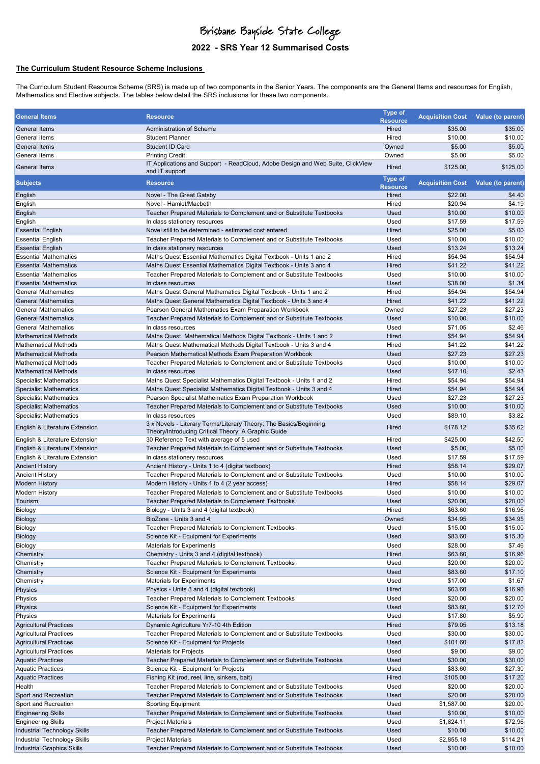# Brisbane Bayside State College

### **2022 - SRS Year 12 Summarised Costs**

#### **The Curriculum Student Resource Scheme Inclusions**

The Curriculum Student Resource Scheme (SRS) is made up of two components in the Senior Years. The components are the General Items and resources for English, Mathematics and Elective subjects. The tables below detail the SRS inclusions for these two components.

| <b>General Items</b>                | <b>Resource</b>                                                                                                          | <b>Type of</b>                    | <b>Acquisition Cost</b> | Value (to parent) |
|-------------------------------------|--------------------------------------------------------------------------------------------------------------------------|-----------------------------------|-------------------------|-------------------|
| General Items                       | Administration of Scheme                                                                                                 | <b>Resource</b><br>Hired          | \$35.00                 | \$35.00           |
| General items                       | <b>Student Planner</b>                                                                                                   | Hired                             | \$10.00                 | \$10.00           |
| <b>General Items</b>                | Student ID Card                                                                                                          | Owned                             | \$5.00                  | \$5.00            |
| General items                       | <b>Printing Credit</b>                                                                                                   | Owned                             | \$5.00                  | \$5.00            |
| General Items                       | IT Applications and Support - ReadCloud, Adobe Design and Web Suite, ClickView<br>and IT support                         | Hired                             | \$125.00                | \$125.00          |
| <b>Subjects</b>                     | <b>Resource</b>                                                                                                          | <b>Type of</b><br><b>Resource</b> | <b>Acquisition Cost</b> | Value (to parent) |
| English                             | Novel - The Great Gatsby                                                                                                 | Hired                             | \$22.00                 | \$4.40            |
| English                             | Novel - Hamlet/Macbeth                                                                                                   | Hired                             | \$20.94                 | \$4.19            |
| English                             | Teacher Prepared Materials to Complement and or Substitute Textbooks                                                     | Used                              | \$10.00                 | \$10.00           |
| English                             | In class stationery resources                                                                                            | Used                              | \$17.59                 | \$17.59           |
| <b>Essential English</b>            | Novel still to be determined - estimated cost entered                                                                    | Hired                             | \$25.00                 | \$5.00            |
| <b>Essential English</b>            | Teacher Prepared Materials to Complement and or Substitute Textbooks                                                     | Used                              | \$10.00                 | \$10.00           |
| <b>Essential English</b>            | In class stationery resources                                                                                            | Used                              | \$13.24                 | \$13.24           |
| <b>Essential Mathematics</b>        | Maths Quest Essential Mathematics Digital Textbook - Units 1 and 2                                                       | Hired                             | \$54.94                 | \$54.94           |
| <b>Essential Mathematics</b>        | Maths Quest Essential Mathematics Digital Textbook - Units 3 and 4                                                       | Hired                             | \$41.22                 | \$41.22           |
| <b>Essential Mathematics</b>        | Teacher Prepared Materials to Complement and or Substitute Textbooks                                                     | Used                              | \$10.00                 | \$10.00           |
| <b>Essential Mathematics</b>        | In class resources                                                                                                       | Used                              | \$38.00                 | \$1.34            |
| <b>General Mathematics</b>          | Maths Quest General Mathematics Digital Textbook - Units 1 and 2                                                         | Hired                             | \$54.94                 | \$54.94           |
| <b>General Mathematics</b>          | Maths Quest General Mathematics Digital Textbook - Units 3 and 4                                                         | Hired                             | \$41.22                 | \$41.22           |
| <b>General Mathematics</b>          | Pearson General Mathematics Exam Preparation Workbook                                                                    | Owned                             | \$27.23                 | \$27.23           |
| <b>General Mathematics</b>          | Teacher Prepared Materials to Complement and or Substitute Textbooks                                                     | Used                              | \$10.00                 | \$10.00           |
| <b>General Mathematics</b>          | In class resources                                                                                                       | Used                              | \$71.05                 | \$2.46            |
| <b>Mathematical Methods</b>         | Maths Quest Mathematical Methods Digital Textbook - Units 1 and 2                                                        | Hired                             | \$54.94                 | \$54.94           |
| <b>Mathematical Methods</b>         | Maths Quest Mathematical Methods Digital Textbook - Units 3 and 4                                                        | Hired                             | \$41.22                 | \$41.22           |
| <b>Mathematical Methods</b>         | Pearson Mathematical Methods Exam Preparation Workbook                                                                   | Used                              | \$27.23                 | \$27.23           |
| <b>Mathematical Methods</b>         | Teacher Prepared Materials to Complement and or Substitute Textbooks                                                     | Used                              | \$10.00                 | \$10.00           |
| <b>Mathematical Methods</b>         | In class resources                                                                                                       | Used                              | \$47.10                 | \$2.43            |
| <b>Specialist Mathematics</b>       | Maths Quest Specialist Mathematics Digital Textbook - Units 1 and 2                                                      | Hired                             | \$54.94                 | \$54.94           |
| <b>Specialist Mathematics</b>       | Maths Quest Specialist Mathematics Digital Textbook - Units 3 and 4                                                      | Hired                             | \$54.94                 | \$54.94           |
| <b>Specialist Mathematics</b>       | Pearson Specialist Mathematics Exam Preparation Workbook                                                                 | Used                              | \$27.23                 | \$27.23           |
| <b>Specialist Mathematics</b>       | Teacher Prepared Materials to Complement and or Substitute Textbooks                                                     | Used                              | \$10.00                 | \$10.00           |
| <b>Specialist Mathematics</b>       | In class resources                                                                                                       | Used                              | \$89.10                 | \$3.82            |
| English & Literature Extension      | 3 x Novels - Literary Terms/Literary Theory: The Basics/Beginning<br>Theory/Introducing Critical Theory: A Graphic Guide | Hired                             | \$178.12                | \$35.62           |
| English & Literature Extension      | 30 Reference Text with average of 5 used                                                                                 | Hired                             | \$425.00                | \$42.50           |
| English & Literature Extension      | Teacher Prepared Materials to Complement and or Substitute Textbooks                                                     | Used                              | \$5.00                  | \$5.00            |
| English & Literature Extension      | In class stationery resources                                                                                            | Used                              | \$17.59                 | \$17.59           |
| <b>Ancient History</b>              | Ancient History - Units 1 to 4 (digital textbook)                                                                        | Hired                             | \$58.14                 | \$29.07           |
| <b>Ancient History</b>              | Teacher Prepared Materials to Complement and or Substitute Textbooks                                                     | Used                              | \$10.00                 | \$10.00           |
| <b>Modern History</b>               | Modern History - Units 1 to 4 (2 year access)                                                                            | Hired                             | \$58.14                 | \$29.07           |
| <b>Modern History</b>               | Teacher Prepared Materials to Complement and or Substitute Textbooks                                                     | Used                              | \$10.00                 | \$10.00           |
| Tourism                             | <b>Teacher Prepared Materials to Complement Textbooks</b>                                                                | Used                              | \$20.00                 | \$20.00           |
| Biology                             | Biology - Units 3 and 4 (digital textbook)                                                                               | Hired                             | \$63.60                 | \$16.96           |
| <b>Biology</b>                      | BioZone - Units 3 and 4                                                                                                  | Owned                             | \$34.95                 | \$34.95           |
| Biology                             | Teacher Prepared Materials to Complement Textbooks                                                                       | Used                              | \$15.00                 | \$15.00           |
| Biology                             | Science Kit - Equipment for Experiments                                                                                  | Used                              | \$83.60                 | \$15.30           |
| Biology                             | <b>Materials for Experiments</b>                                                                                         | Used                              | \$28.00                 | \$7.46            |
| Chemistry                           | Chemistry - Units 3 and 4 (digital textbook)                                                                             | Hired                             | \$63.60                 | \$16.96           |
| Chemistry                           | Teacher Prepared Materials to Complement Textbooks                                                                       | Used                              | \$20.00                 | \$20.00           |
| Chemistry                           | Science Kit - Equipment for Experiments<br><b>Materials for Experiments</b>                                              | Used                              | \$83.60<br>\$17.00      | \$17.10           |
| Chemistry                           | Physics - Units 3 and 4 (digital textbook)                                                                               | Used<br>Hired                     | \$63.60                 | \$1.67<br>\$16.96 |
| Physics                             | <b>Teacher Prepared Materials to Complement Textbooks</b>                                                                | Used                              | \$20.00                 | \$20.00           |
| Physics                             | Science Kit - Equipment for Experiments                                                                                  | Used                              | \$83.60                 | \$12.70           |
| Physics<br>Physics                  | <b>Materials for Experiments</b>                                                                                         | Used                              | \$17.80                 | \$5.90            |
| <b>Agricultural Practices</b>       | Dynamic Agriculture Yr7-10 4th Edition                                                                                   | Hired                             | \$79.05                 | \$13.18           |
| <b>Agricultural Practices</b>       | Teacher Prepared Materials to Complement and or Substitute Textbooks                                                     | Used                              | \$30.00                 | \$30.00           |
| <b>Agricultural Practices</b>       | Science Kit - Equipment for Projects                                                                                     | Used                              | \$101.60                | \$17.82           |
| <b>Agricultural Practices</b>       | <b>Materials for Projects</b>                                                                                            | Used                              | \$9.00                  | \$9.00            |
| <b>Aquatic Practices</b>            | Teacher Prepared Materials to Complement and or Substitute Textbooks                                                     | Used                              | \$30.00                 | \$30.00           |
| <b>Aquatic Practices</b>            | Science Kit - Equipment for Projects                                                                                     | Used                              | \$83.60                 | \$27.30           |
| <b>Aquatic Practices</b>            | Fishing Kit (rod, reel, line, sinkers, bait)                                                                             | Hired                             | \$105.00                | \$17.20           |
| Health                              | Teacher Prepared Materials to Complement and or Substitute Textbooks                                                     | Used                              | \$20.00                 | \$20.00           |
| Sport and Recreation                | Teacher Prepared Materials to Complement and or Substitute Textbooks                                                     | Used                              | \$20.00                 | \$20.00           |
| Sport and Recreation                | <b>Sporting Equipment</b>                                                                                                | Used                              | \$1,587.00              | \$20.00           |
| <b>Engineering Skills</b>           | Teacher Prepared Materials to Complement and or Substitute Textbooks                                                     | Used                              | \$10.00                 | \$10.00           |
| <b>Engineering Skills</b>           | <b>Project Materials</b>                                                                                                 | Used                              | \$1,824.11              | \$72.96           |
| Industrial Technology Skills        | Teacher Prepared Materials to Complement and or Substitute Textbooks                                                     | Used                              | \$10.00                 | \$10.00           |
| <b>Industrial Technology Skills</b> | <b>Project Materials</b>                                                                                                 | Used                              | \$2,855.18              | \$114.21          |
| <b>Industrial Graphics Skills</b>   | Teacher Prepared Materials to Complement and or Substitute Textbooks                                                     | Used                              | \$10.00                 | \$10.00           |